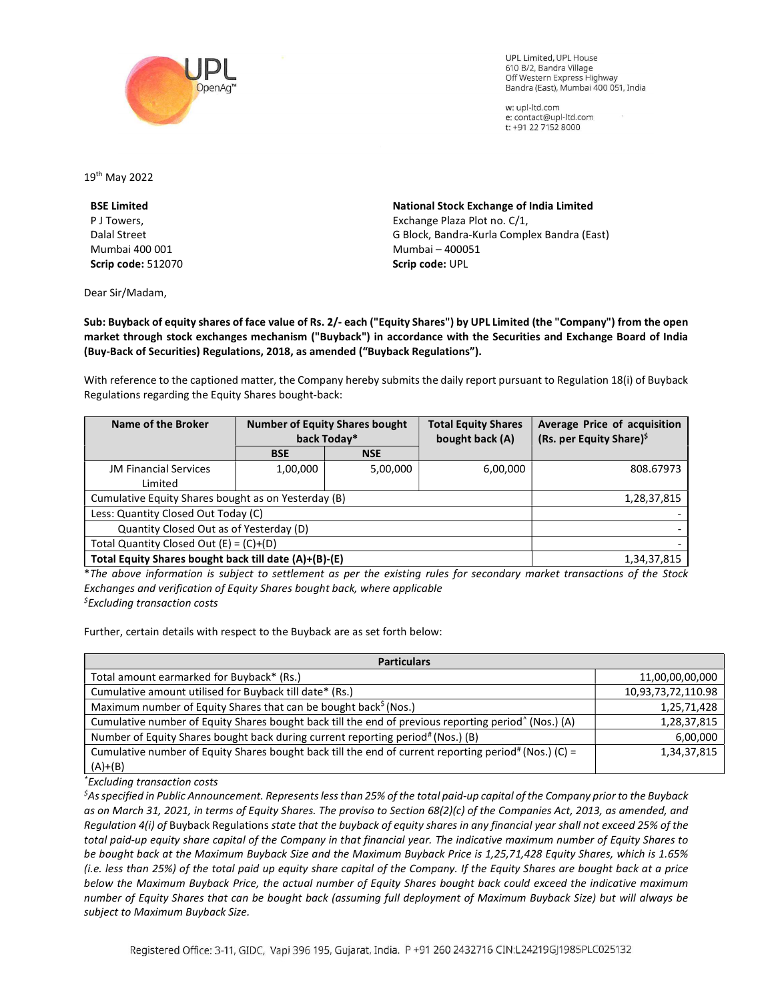

**UPL Limited. UPL House** 610 B/2, Bandra Village Off Western Express Highway Bandra (East), Mumbai 400 051, India

w: upl-ltd.com e: contact@upl-ltd.com t: +91 22 7152 8000

19th May 2022

BSE Limited P J Towers, Dalal Street Mumbai 400 001 Scrip code: 512070

Dear Sir/Madam,

National Stock Exchange of India Limited Exchange Plaza Plot no. C/1, G Block, Bandra-Kurla Complex Bandra (East) Mumbai – 400051 Scrip code: UPL

Sub: Buyback of equity shares of face value of Rs. 2/- each ("Equity Shares") by UPL Limited (the "Company") from the open market through stock exchanges mechanism ("Buyback") in accordance with the Securities and Exchange Board of India (Buy-Back of Securities) Regulations, 2018, as amended ("Buyback Regulations").

With reference to the captioned matter, the Company hereby submits the daily report pursuant to Regulation 18(i) of Buyback Regulations regarding the Equity Shares bought-back:

| Name of the Broker                                    | <b>Number of Equity Shares bought</b><br>back Today* |            | <b>Total Equity Shares</b><br>bought back (A) | Average Price of acquisition<br>(Rs. per Equity Share) <sup>\$</sup> |
|-------------------------------------------------------|------------------------------------------------------|------------|-----------------------------------------------|----------------------------------------------------------------------|
|                                                       | <b>BSE</b>                                           | <b>NSE</b> |                                               |                                                                      |
| <b>JM Financial Services</b>                          | 1,00,000                                             | 5,00,000   | 6,00,000                                      | 808.67973                                                            |
| Limited                                               |                                                      |            |                                               |                                                                      |
| Cumulative Equity Shares bought as on Yesterday (B)   |                                                      |            |                                               | 1,28,37,815                                                          |
| Less: Quantity Closed Out Today (C)                   |                                                      |            |                                               |                                                                      |
| Quantity Closed Out as of Yesterday (D)               |                                                      |            |                                               |                                                                      |
| Total Quantity Closed Out $(E) = (C)+(D)$             |                                                      |            |                                               |                                                                      |
| Total Equity Shares bought back till date (A)+(B)-(E) |                                                      |            |                                               | 1,34,37,815                                                          |

\*The above information is subject to settlement as per the existing rules for secondary market transactions of the Stock Exchanges and verification of Equity Shares bought back, where applicable  $<sup>5</sup>$ Excluding transaction costs</sup>

Further, certain details with respect to the Buyback are as set forth below:

| <b>Particulars</b>                                                                                               |                    |  |  |  |
|------------------------------------------------------------------------------------------------------------------|--------------------|--|--|--|
| Total amount earmarked for Buyback* (Rs.)                                                                        | 11,00,00,00,000    |  |  |  |
| Cumulative amount utilised for Buyback till date* (Rs.)                                                          | 10,93,73,72,110.98 |  |  |  |
| Maximum number of Equity Shares that can be bought back <sup>5</sup> (Nos.)                                      | 1,25,71,428        |  |  |  |
| Cumulative number of Equity Shares bought back till the end of previous reporting period <sup>^</sup> (Nos.) (A) | 1,28,37,815        |  |  |  |
| Number of Equity Shares bought back during current reporting period# (Nos.) (B)                                  | 6,00,000           |  |  |  |
| Cumulative number of Equity Shares bought back till the end of current reporting period# (Nos.) (C) =            | 1,34,37,815        |  |  |  |
| $(A)+(B)$                                                                                                        |                    |  |  |  |

\*Excluding transaction costs

 ${}^5$ As specified in Public Announcement. Represents less than 25% of the total paid-up capital of the Company prior to the Buyback as on March 31, 2021, in terms of Equity Shares. The proviso to Section 68(2)(c) of the Companies Act, 2013, as amended, and Regulation 4(i) of Buyback Regulations state that the buyback of equity shares in any financial year shall not exceed 25% of the total paid-up equity share capital of the Company in that financial year. The indicative maximum number of Equity Shares to be bought back at the Maximum Buyback Size and the Maximum Buyback Price is 1,25,71,428 Equity Shares, which is 1.65% (i.e. less than 25%) of the total paid up equity share capital of the Company. If the Equity Shares are bought back at a price below the Maximum Buyback Price, the actual number of Equity Shares bought back could exceed the indicative maximum number of Equity Shares that can be bought back (assuming full deployment of Maximum Buyback Size) but will always be subject to Maximum Buyback Size.